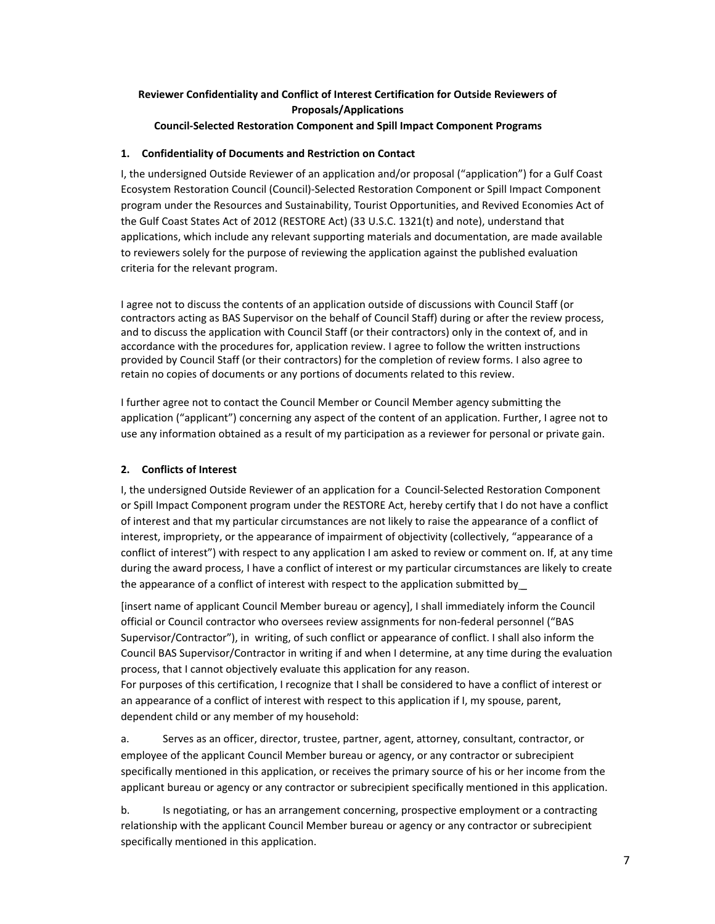## **Reviewer Confidentiality and Conflict of Interest Certification for Outside Reviewers of Proposals/Applications**

**Council-Selected Restoration Component and Spill Impact Component Programs**

## **1. Confidentiality of Documents and Restriction on Contact**

I, the undersigned Outside Reviewer of an application and/or proposal ("application") for a Gulf Coast Ecosystem Restoration Council (Council)-Selected Restoration Component or Spill Impact Component program under the Resources and Sustainability, Tourist Opportunities, and Revived Economies Act of the Gulf Coast States Act of 2012 (RESTORE Act) (33 U.S.C. 1321(t) and note), understand that applications, which include any relevant supporting materials and documentation, are made available to reviewers solely for the purpose of reviewing the application against the published evaluation criteria for the relevant program.

I agree not to discuss the contents of an application outside of discussions with Council Staff (or contractors acting as BAS Supervisor on the behalf of Council Staff) during or after the review process, and to discuss the application with Council Staff (or their contractors) only in the context of, and in accordance with the procedures for, application review. I agree to follow the written instructions provided by Council Staff (or their contractors) for the completion of review forms. I also agree to retain no copies of documents or any portions of documents related to this review.

I further agree not to contact the Council Member or Council Member agency submitting the application ("applicant") concerning any aspect of the content of an application. Further, I agree not to use any information obtained as a result of my participation as a reviewer for personal or private gain.

## **2. Conflicts of Interest**

I, the undersigned Outside Reviewer of an application for a Council-Selected Restoration Component or Spill Impact Component program under the RESTORE Act, hereby certify that I do not have a conflict of interest and that my particular circumstances are not likely to raise the appearance of a conflict of interest, impropriety, or the appearance of impairment of objectivity (collectively, "appearance of a conflict of interest") with respect to any application I am asked to review or comment on. If, at any time during the award process, I have a conflict of interest or my particular circumstances are likely to create the appearance of a conflict of interest with respect to the application submitted by\_

[insert name of applicant Council Member bureau or agency], I shall immediately inform the Council official or Council contractor who oversees review assignments for non-federal personnel ("BAS Supervisor/Contractor"), in writing, of such conflict or appearance of conflict. I shall also inform the Council BAS Supervisor/Contractor in writing if and when I determine, at any time during the evaluation process, that I cannot objectively evaluate this application for any reason.

For purposes of this certification, I recognize that I shall be considered to have a conflict of interest or an appearance of a conflict of interest with respect to this application if I, my spouse, parent, dependent child or any member of my household:

a. Serves as an officer, director, trustee, partner, agent, attorney, consultant, contractor, or employee of the applicant Council Member bureau or agency, or any contractor or subrecipient specifically mentioned in this application, or receives the primary source of his or her income from the applicant bureau or agency or any contractor or subrecipient specifically mentioned in this application.

b. Is negotiating, or has an arrangement concerning, prospective employment or a contracting relationship with the applicant Council Member bureau or agency or any contractor or subrecipient specifically mentioned in this application.